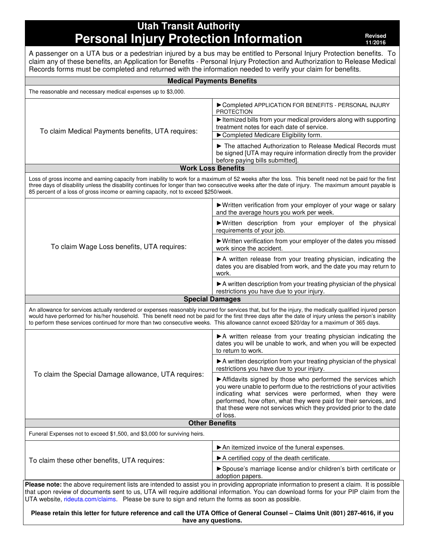**Utah Transit Authority Personal Injury Protection Information Protection Revised** 

**11/2016** 

| Records forms must be completed and returned with the information needed to verify your claim for benefits.                               | A passenger on a UTA bus or a pedestrian injured by a bus may be entitled to Personal Injury Protection benefits. To<br>claim any of these benefits, an Application for Benefits - Personal Injury Protection and Authorization to Release Medical                                                                                                     |  |  |
|-------------------------------------------------------------------------------------------------------------------------------------------|--------------------------------------------------------------------------------------------------------------------------------------------------------------------------------------------------------------------------------------------------------------------------------------------------------------------------------------------------------|--|--|
|                                                                                                                                           | <b>Medical Payments Benefits</b>                                                                                                                                                                                                                                                                                                                       |  |  |
| The reasonable and necessary medical expenses up to \$3,000.                                                                              |                                                                                                                                                                                                                                                                                                                                                        |  |  |
|                                                                                                                                           | Completed APPLICATION FOR BENEFITS - PERSONAL INJURY<br><b>PROTECTION</b>                                                                                                                                                                                                                                                                              |  |  |
| To claim Medical Payments benefits, UTA requires:                                                                                         | Itemized bills from your medical providers along with supporting<br>treatment notes for each date of service.<br>Completed Medicare Eligibility form.                                                                                                                                                                                                  |  |  |
|                                                                                                                                           | The attached Authorization to Release Medical Records must<br>be signed [UTA may require information directly from the provider<br>before paying bills submitted].                                                                                                                                                                                     |  |  |
|                                                                                                                                           | <b>Work Loss Benefits</b>                                                                                                                                                                                                                                                                                                                              |  |  |
| 85 percent of a loss of gross income or earning capacity, not to exceed \$250/week.                                                       | Loss of gross income and earning capacity from inability to work for a maximum of 52 weeks after the loss. This benefit need not be paid for the first<br>three days of disability unless the disability continues for longer than two consecutive weeks after the date of injury. The maximum amount payable is                                       |  |  |
|                                                                                                                                           | ▶ Written verification from your employer of your wage or salary<br>and the average hours you work per week.                                                                                                                                                                                                                                           |  |  |
|                                                                                                                                           | Written description from your employer of the physical<br>requirements of your job.                                                                                                                                                                                                                                                                    |  |  |
| To claim Wage Loss benefits, UTA requires:                                                                                                | ▶ Written verification from your employer of the dates you missed<br>work since the accident.                                                                                                                                                                                                                                                          |  |  |
|                                                                                                                                           | A written release from your treating physician, indicating the<br>dates you are disabled from work, and the date you may return to<br>work.                                                                                                                                                                                                            |  |  |
|                                                                                                                                           | A written description from your treating physician of the physical<br>restrictions you have due to your injury.                                                                                                                                                                                                                                        |  |  |
|                                                                                                                                           | <b>Special Damages</b>                                                                                                                                                                                                                                                                                                                                 |  |  |
| to perform these services continued for more than two consecutive weeks. This allowance cannot exceed \$20/day for a maximum of 365 days. | An allowance for services actually rendered or expenses reasonably incurred for services that, but for the injury, the medically qualified injured person<br>would have performed for his/her household. This benefit need not be paid for the first three days after the date of injury unless the person's inability                                 |  |  |
|                                                                                                                                           | A written release from your treating physician indicating the<br>dates you will be unable to work, and when you will be expected<br>to return to work.                                                                                                                                                                                                 |  |  |
| To claim the Special Damage allowance, UTA requires:                                                                                      | A written description from your treating physician of the physical<br>restrictions you have due to your injury.                                                                                                                                                                                                                                        |  |  |
|                                                                                                                                           | Affidavits signed by those who performed the services which<br>you were unable to perform due to the restrictions of your activities<br>indicating what services were performed, when they were<br>performed, how often, what they were paid for their services, and<br>that these were not services which they provided prior to the date<br>of loss. |  |  |
|                                                                                                                                           | <b>Other Benefits</b>                                                                                                                                                                                                                                                                                                                                  |  |  |
| Funeral Expenses not to exceed \$1,500, and \$3,000 for surviving heirs.                                                                  |                                                                                                                                                                                                                                                                                                                                                        |  |  |
|                                                                                                                                           | An itemized invoice of the funeral expenses.                                                                                                                                                                                                                                                                                                           |  |  |
| To claim these other benefits, UTA requires:                                                                                              | A certified copy of the death certificate.                                                                                                                                                                                                                                                                                                             |  |  |
|                                                                                                                                           | Spouse's marriage license and/or children's birth certificate or<br>adoption papers.                                                                                                                                                                                                                                                                   |  |  |
| UTA website, rideuta.com/claims. Please be sure to sign and return the forms as soon as possible.                                         | Please note: the above requirement lists are intended to assist you in providing appropriate information to present a claim. It is possible<br>that upon review of documents sent to us, UTA will require additional information. You can download forms for your PIP claim from the                                                                   |  |  |
|                                                                                                                                           | Please retain this letter for future reference and call the UTA Office of General Counsel - Claims Unit (801) 287-4616, if you<br>have any questions.                                                                                                                                                                                                  |  |  |
|                                                                                                                                           |                                                                                                                                                                                                                                                                                                                                                        |  |  |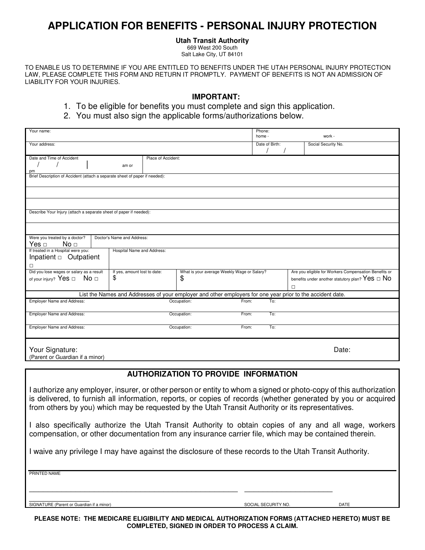# **APPLICATION FOR BENEFITS - PERSONAL INJURY PROTECTION**

### **Utah Transit Authority**

669 West 200 South Salt Lake City, UT 84101

TO ENABLE US TO DETERMINE IF YOU ARE ENTITLED TO BENEFITS UNDER THE UTAH PERSONAL INJURY PROTECTION LAW, PLEASE COMPLETE THIS FORM AND RETURN IT PROMPTLY. PAYMENT OF BENEFITS IS NOT AN ADMISSION OF LIABILITY FOR YOUR INJURIES.

## **IMPORTANT:**

- 1. To be eligible for benefits you must complete and sign this application.
- 2. You must also sign the applicable forms/authorizations below.

| Your name:                                                                  |                                                                                                            |                              |             |                                             | Phone:<br>home - |        | work -                                                   |
|-----------------------------------------------------------------------------|------------------------------------------------------------------------------------------------------------|------------------------------|-------------|---------------------------------------------|------------------|--------|----------------------------------------------------------|
| Your address:                                                               |                                                                                                            |                              |             |                                             | Date of Birth:   |        | Social Security No.                                      |
| Date and Time of Accident                                                   |                                                                                                            | Place of Accident:           |             |                                             |                  |        |                                                          |
|                                                                             | am or                                                                                                      |                              |             |                                             |                  |        |                                                          |
| pm                                                                          |                                                                                                            |                              |             |                                             |                  |        |                                                          |
| Brief Description of Accident (attach a separate sheet of paper if needed): |                                                                                                            |                              |             |                                             |                  |        |                                                          |
|                                                                             |                                                                                                            |                              |             |                                             |                  |        |                                                          |
|                                                                             |                                                                                                            |                              |             |                                             |                  |        |                                                          |
| Describe Your Injury (attach a separate sheet of paper if needed):          |                                                                                                            |                              |             |                                             |                  |        |                                                          |
|                                                                             |                                                                                                            |                              |             |                                             |                  |        |                                                          |
| Were you treated by a doctor?                                               | Doctor's Name and Address:                                                                                 |                              |             |                                             |                  |        |                                                          |
| Yes $\Box$<br>No <sub>□</sub>                                               |                                                                                                            |                              |             |                                             |                  |        |                                                          |
| If treated in a Hospital were you:                                          |                                                                                                            | Hospital Name and Address:   |             |                                             |                  |        |                                                          |
| Inpatient <sup>o</sup> Outpatient                                           |                                                                                                            |                              |             |                                             |                  |        |                                                          |
| $\Box$                                                                      |                                                                                                            |                              |             |                                             |                  |        |                                                          |
| Did you lose wages or salary as a result                                    |                                                                                                            | If yes, amount lost to date: |             | What is your average Weekly Wage or Salary? |                  |        | Are you eligible for Workers Compensation Benefits or    |
| of your injury? Yes $\Box$ No $\Box$                                        | \$                                                                                                         |                              | \$          |                                             |                  |        | benefits under another statutory plan? $Yes \ \Box \ No$ |
|                                                                             |                                                                                                            |                              |             |                                             |                  | $\Box$ |                                                          |
|                                                                             |                                                                                                            |                              |             |                                             |                  |        |                                                          |
|                                                                             | List the Names and Addresses of your employer and other employers for one year prior to the accident date. |                              |             |                                             |                  |        |                                                          |
| <b>Employer Name and Address:</b>                                           |                                                                                                            |                              | Occupation: | From:                                       | To:              |        |                                                          |
| <b>Employer Name and Address:</b>                                           |                                                                                                            |                              | Occupation: | From:                                       | To:              |        |                                                          |
| <b>Employer Name and Address:</b>                                           |                                                                                                            |                              | Occupation: | From:                                       | To:              |        |                                                          |
|                                                                             |                                                                                                            |                              |             |                                             |                  |        |                                                          |
| Your Signature:                                                             |                                                                                                            |                              |             |                                             |                  |        | Date:                                                    |
| (Parent or Guardian if a minor)                                             |                                                                                                            |                              |             |                                             |                  |        |                                                          |
|                                                                             |                                                                                                            |                              |             |                                             |                  |        |                                                          |

## **AUTHORIZATION TO PROVIDE INFORMATION**

I authorize any employer, insurer, or other person or entity to whom a signed or photo-copy of this authorization is delivered, to furnish all information, reports, or copies of records (whether generated by you or acquired from others by you) which may be requested by the Utah Transit Authority or its representatives.

I also specifically authorize the Utah Transit Authority to obtain copies of any and all wage, workers compensation, or other documentation from any insurance carrier file, which may be contained therein.

I waive any privilege I may have against the disclosure of these records to the Utah Transit Authority.

\_\_\_\_\_\_\_\_\_\_\_\_\_\_\_\_\_\_\_\_\_\_\_\_\_\_\_\_\_\_\_\_\_\_\_\_\_\_\_\_\_\_\_\_\_ \_\_\_\_\_\_\_\_\_\_\_\_\_\_\_\_\_\_\_

PRINTED NAME

erican and the Signature (Parent or Guardian if a minor) solution of the Social Security No. DATE SOCIAL SECURITY NO.

**PLEASE NOTE: THE MEDICARE ELIGIBILITY AND MEDICAL AUTHORIZATION FORMS (ATTACHED HERETO) MUST BE COMPLETED, SIGNED IN ORDER TO PROCESS A CLAIM.**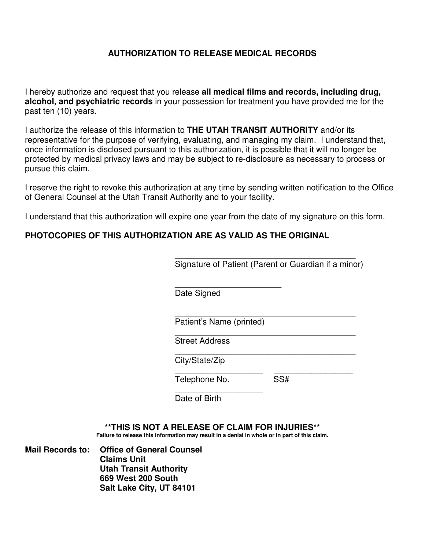# **AUTHORIZATION TO RELEASE MEDICAL RECORDS**

I hereby authorize and request that you release **all medical films and records, including drug, alcohol, and psychiatric records** in your possession for treatment you have provided me for the past ten (10) years.

I authorize the release of this information to **THE UTAH TRANSIT AUTHORITY** and/or its representative for the purpose of verifying, evaluating, and managing my claim. I understand that, once information is disclosed pursuant to this authorization, it is possible that it will no longer be protected by medical privacy laws and may be subject to re-disclosure as necessary to process or pursue this claim.

I reserve the right to revoke this authorization at any time by sending written notification to the Office of General Counsel at the Utah Transit Authority and to your facility.

I understand that this authorization will expire one year from the date of my signature on this form.

# **PHOTOCOPIES OF THIS AUTHORIZATION ARE AS VALID AS THE ORIGINAL**

 $\overline{\phantom{a}}$  , which is a set of the set of the set of the set of the set of the set of the set of the set of the set of the set of the set of the set of the set of the set of the set of the set of the set of the set of th Signature of Patient (Parent or Guardian if a minor)

 $\frac{1}{2}$  , and the contract of the contract of the contract of the contract of the contract of the contract of the contract of the contract of the contract of the contract of the contract of the contract of the contract Date Signed

 $\overline{\phantom{a}}$  , which is a set of the set of the set of the set of the set of the set of the set of the set of the set of the set of the set of the set of the set of the set of the set of the set of the set of the set of th

Patient's Name (printed)

 $\overline{\phantom{a}}$  , and the contract of the contract of the contract of the contract of the contract of the contract of the contract of the contract of the contract of the contract of the contract of the contract of the contrac Street Address

 $\overline{\phantom{a}}$  , which is a set of the set of the set of the set of the set of the set of the set of the set of the set of the set of the set of the set of the set of the set of the set of the set of the set of the set of th City/State/Zip

 $\overline{\phantom{a}}$  , and the contract of the contract of the contract of the contract of the contract of the contract of the contract of the contract of the contract of the contract of the contract of the contract of the contrac Telephone No. SS#

Date of Birth

**\*\*THIS IS NOT A RELEASE OF CLAIM FOR INJURIES\*\*** 

**Failure to release this information may result in a denial in whole or in part of this claim.** 

**Mail Records to: Office of General Counsel Claims Unit Utah Transit Authority 669 West 200 South Salt Lake City, UT 84101** 

 $\overline{\phantom{a}}$  , which is a set of the set of the set of the set of the set of the set of the set of the set of the set of the set of the set of the set of the set of the set of the set of the set of the set of the set of th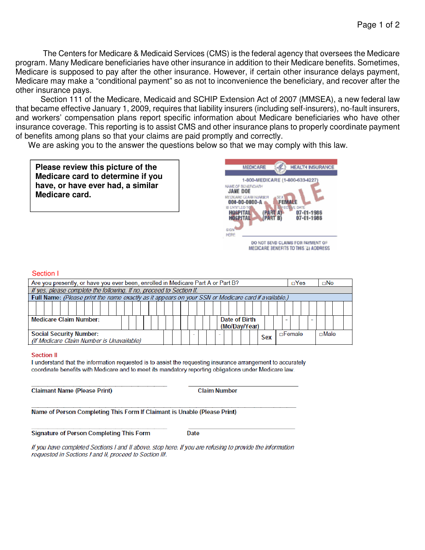The Centers for Medicare & Medicaid Services (CMS) is the federal agency that oversees the Medicare program. Many Medicare beneficiaries have other insurance in addition to their Medicare benefits. Sometimes, Medicare is supposed to pay after the other insurance. However, if certain other insurance delays payment, Medicare may make a "conditional payment" so as not to inconvenience the beneficiary, and recover after the other insurance pays.

Section 111 of the Medicare, Medicaid and SCHIP Extension Act of 2007 (MMSEA), a new federal law that became effective January 1, 2009, requires that liability insurers (including self-insurers), no-fault insurers, and workers' compensation plans report specific information about Medicare beneficiaries who have other insurance coverage. This reporting is to assist CMS and other insurance plans to properly coordinate payment of benefits among plans so that your claims are paid promptly and correctly.

We are asking you to the answer the questions below so that we may comply with this law.

| Please review this picture of the |
|-----------------------------------|
| Medicare card to determine if you |
| have, or have ever had, a similar |
| Medicare card.                    |



#### Section I

| Are you presently, or have you ever been, enrolled in Medicare Part A or Part B?                    |               | $\Box$ Yes<br>$\Box$ No      |
|-----------------------------------------------------------------------------------------------------|---------------|------------------------------|
| If yes, please complete the following. If no, proceed to Section II.                                |               |                              |
| Full Name: (Please print the name exactly as it appears on your SSN or Medicare card if available.) |               |                              |
| <b>Medicare Claim Number:</b>                                                                       | Date of Birth |                              |
|                                                                                                     | (Mo/Day/Year) |                              |
| <b>Social Security Number:</b>                                                                      | <b>Sex</b>    | $\Box$ Female<br>$\Box$ Male |
| (If Medicare Claim Number is Unavailable)                                                           |               |                              |

#### **Section II**

I understand that the information requested is to assist the requesting insurance arrangement to accurately coordinate benefits with Medicare and to meet its mandatory reporting obligations under Medicare law.

**Claimant Name (Please Print)** 

**Claim Number** 

Name of Person Completing This Form If Claimant is Unable (Please Print)

**Signature of Person Completing This Form** 

**Date** 

If you have completed Sections I and II above, stop here. If you are refusing to provide the information requested in Sections I and II, proceed to Section III.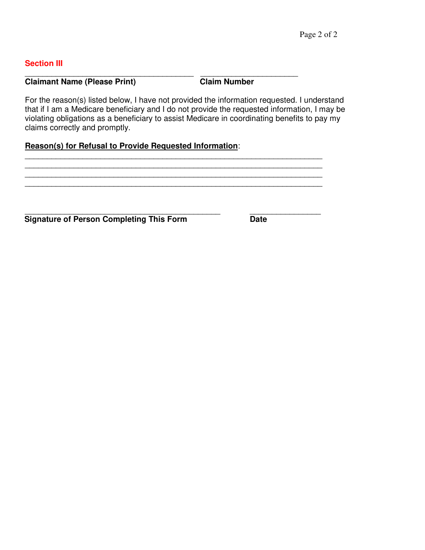## **Section III**

### \_\_\_\_\_\_\_\_\_\_\_\_\_\_\_\_\_\_\_\_\_\_\_\_\_\_\_\_\_\_\_\_\_\_\_\_\_\_ \_\_\_\_\_\_\_\_\_\_\_\_\_\_\_\_\_\_\_\_\_\_ **Claimant Name (Please Print)** Claim Number

For the reason(s) listed below, I have not provided the information requested. I understand that if I am a Medicare beneficiary and I do not provide the requested information, I may be violating obligations as a beneficiary to assist Medicare in coordinating benefits to pay my claims correctly and promptly.

\_\_\_\_\_\_\_\_\_\_\_\_\_\_\_\_\_\_\_\_\_\_\_\_\_\_\_\_\_\_\_\_\_\_\_\_\_\_\_\_\_\_\_\_\_\_\_\_\_\_\_\_\_\_\_\_\_\_\_\_\_\_\_\_\_\_\_ \_\_\_\_\_\_\_\_\_\_\_\_\_\_\_\_\_\_\_\_\_\_\_\_\_\_\_\_\_\_\_\_\_\_\_\_\_\_\_\_\_\_\_\_\_\_\_\_\_\_\_\_\_\_\_\_\_\_\_\_\_\_\_\_\_\_\_

\_\_\_\_\_\_\_\_\_\_\_\_\_\_\_\_\_\_\_\_\_\_\_\_\_\_\_\_\_\_\_\_\_\_\_\_\_\_\_\_\_\_\_\_\_\_\_\_\_\_\_\_\_\_\_\_\_\_\_\_\_\_\_\_\_\_\_

# **Reason(s) for Refusal to Provide Requested Information**:

\_\_\_\_\_\_\_\_\_\_\_\_\_\_\_\_\_\_\_\_\_\_\_\_\_\_\_\_\_\_\_\_\_\_\_\_\_\_\_\_\_\_\_\_ \_\_\_\_\_\_\_\_\_\_\_\_\_\_\_\_ **Signature of Person Completing This Form Date**